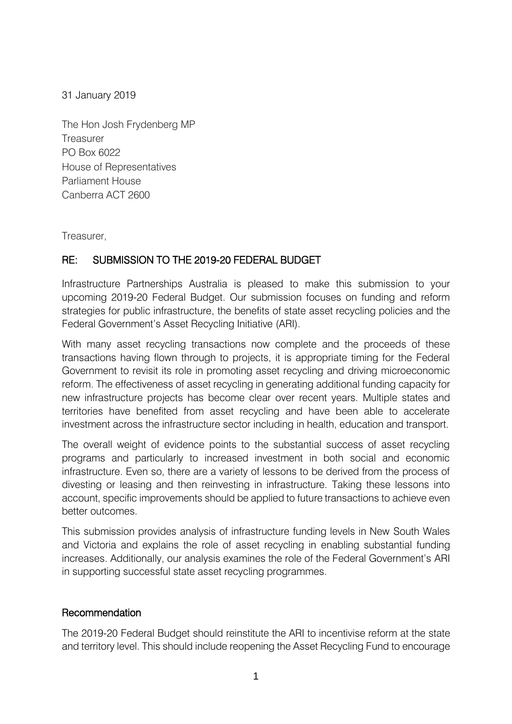31 January 2019

The Hon Josh Frydenberg MP **Treasurer** PO Box 6022 House of Representatives Parliament House Canberra ACT 2600

Treasurer,

# RE: SUBMISSION TO THE 2019-20 FEDERAL BUDGET

Infrastructure Partnerships Australia is pleased to make this submission to your upcoming 2019-20 Federal Budget. Our submission focuses on funding and reform strategies for public infrastructure, the benefits of state asset recycling policies and the Federal Government's Asset Recycling Initiative (ARI).

With many asset recycling transactions now complete and the proceeds of these transactions having flown through to projects, it is appropriate timing for the Federal Government to revisit its role in promoting asset recycling and driving microeconomic reform. The effectiveness of asset recycling in generating additional funding capacity for new infrastructure projects has become clear over recent years. Multiple states and territories have benefited from asset recycling and have been able to accelerate investment across the infrastructure sector including in health, education and transport.

The overall weight of evidence points to the substantial success of asset recycling programs and particularly to increased investment in both social and economic infrastructure. Even so, there are a variety of lessons to be derived from the process of divesting or leasing and then reinvesting in infrastructure. Taking these lessons into account, specific improvements should be applied to future transactions to achieve even better outcomes.

This submission provides analysis of infrastructure funding levels in New South Wales and Victoria and explains the role of asset recycling in enabling substantial funding increases. Additionally, our analysis examines the role of the Federal Government's ARI in supporting successful state asset recycling programmes.

### **Recommendation**

The 2019-20 Federal Budget should reinstitute the ARI to incentivise reform at the state and territory level. This should include reopening the Asset Recycling Fund to encourage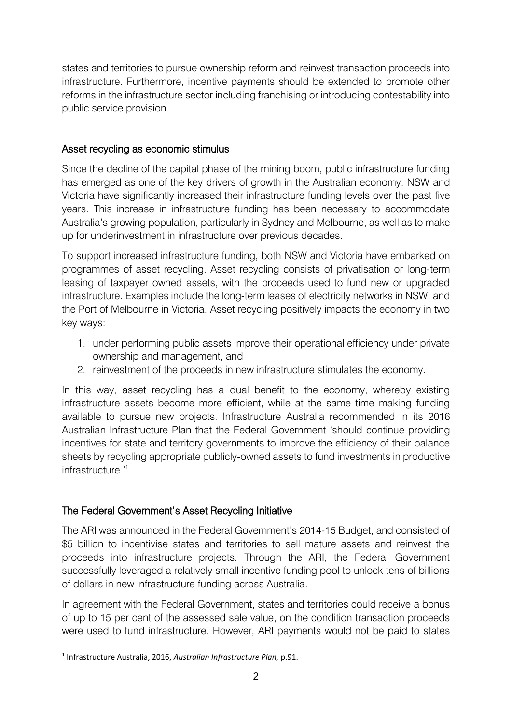states and territories to pursue ownership reform and reinvest transaction proceeds into infrastructure. Furthermore, incentive payments should be extended to promote other reforms in the infrastructure sector including franchising or introducing contestability into public service provision.

## Asset recycling as economic stimulus

Since the decline of the capital phase of the mining boom, public infrastructure funding has emerged as one of the key drivers of growth in the Australian economy. NSW and Victoria have significantly increased their infrastructure funding levels over the past five years. This increase in infrastructure funding has been necessary to accommodate Australia's growing population, particularly in Sydney and Melbourne, as well as to make up for underinvestment in infrastructure over previous decades.

To support increased infrastructure funding, both NSW and Victoria have embarked on programmes of asset recycling. Asset recycling consists of privatisation or long-term leasing of taxpayer owned assets, with the proceeds used to fund new or upgraded infrastructure. Examples include the long-term leases of electricity networks in NSW, and the Port of Melbourne in Victoria. Asset recycling positively impacts the economy in two key ways:

- 1. under performing public assets improve their operational efficiency under private ownership and management, and
- 2. reinvestment of the proceeds in new infrastructure stimulates the economy.

In this way, asset recycling has a dual benefit to the economy, whereby existing infrastructure assets become more efficient, while at the same time making funding available to pursue new projects. Infrastructure Australia recommended in its 2016 Australian Infrastructure Plan that the Federal Government 'should continue providing incentives for state and territory governments to improve the efficiency of their balance sheets by recycling appropriate publicly-owned assets to fund investments in productive infrastructure.'<sup>1</sup>

# The Federal Government's Asset Recycling Initiative

The ARI was announced in the Federal Government's 2014-15 Budget, and consisted of \$5 billion to incentivise states and territories to sell mature assets and reinvest the proceeds into infrastructure projects. Through the ARI, the Federal Government successfully leveraged a relatively small incentive funding pool to unlock tens of billions of dollars in new infrastructure funding across Australia.

In agreement with the Federal Government, states and territories could receive a bonus of up to 15 per cent of the assessed sale value, on the condition transaction proceeds were used to fund infrastructure. However, ARI payments would not be paid to states

**.** 

<sup>1</sup> Infrastructure Australia, 2016, *Australian Infrastructure Plan,* p.91.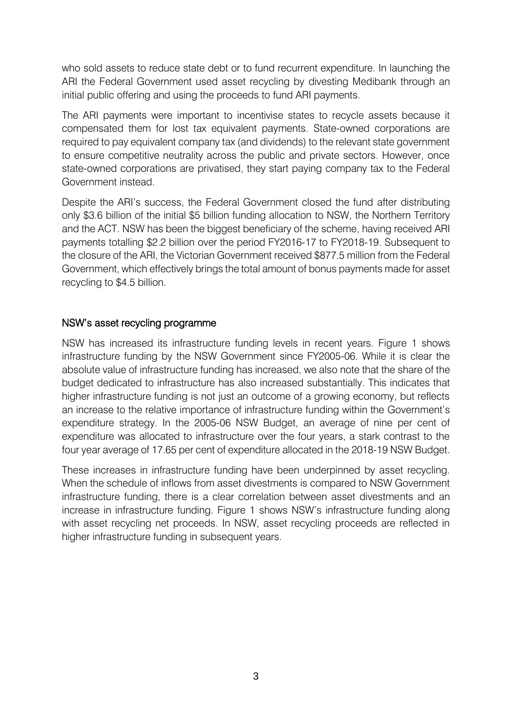who sold assets to reduce state debt or to fund recurrent expenditure. In launching the ARI the Federal Government used asset recycling by divesting Medibank through an initial public offering and using the proceeds to fund ARI payments.

The ARI payments were important to incentivise states to recycle assets because it compensated them for lost tax equivalent payments. State-owned corporations are required to pay equivalent company tax (and dividends) to the relevant state government to ensure competitive neutrality across the public and private sectors. However, once state-owned corporations are privatised, they start paying company tax to the Federal Government instead.

Despite the ARI's success, the Federal Government closed the fund after distributing only \$3.6 billion of the initial \$5 billion funding allocation to NSW, the Northern Territory and the ACT. NSW has been the biggest beneficiary of the scheme, having received ARI payments totalling \$2.2 billion over the period FY2016-17 to FY2018-19. Subsequent to the closure of the ARI, the Victorian Government received \$877.5 million from the Federal Government, which effectively brings the total amount of bonus payments made for asset recycling to \$4.5 billion.

### NSW's asset recycling programme

NSW has increased its infrastructure funding levels in recent years. Figure 1 shows infrastructure funding by the NSW Government since FY2005-06. While it is clear the absolute value of infrastructure funding has increased, we also note that the share of the budget dedicated to infrastructure has also increased substantially. This indicates that higher infrastructure funding is not just an outcome of a growing economy, but reflects an increase to the relative importance of infrastructure funding within the Government's expenditure strategy. In the 2005-06 NSW Budget, an average of nine per cent of expenditure was allocated to infrastructure over the four years, a stark contrast to the four year average of 17.65 per cent of expenditure allocated in the 2018-19 NSW Budget.

These increases in infrastructure funding have been underpinned by asset recycling. When the schedule of inflows from asset divestments is compared to NSW Government infrastructure funding, there is a clear correlation between asset divestments and an increase in infrastructure funding. Figure 1 shows NSW's infrastructure funding along with asset recycling net proceeds. In NSW, asset recycling proceeds are reflected in higher infrastructure funding in subsequent years.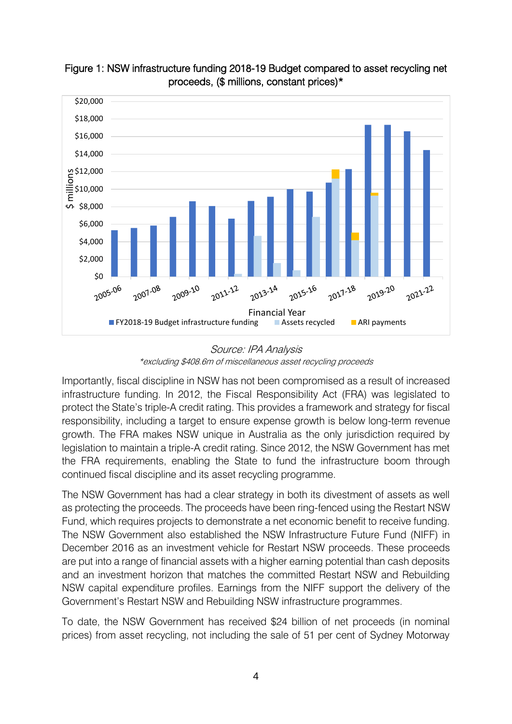



Source: IPA Analysis \*excluding \$408.6m of miscellaneous asset recycling proceeds

Importantly, fiscal discipline in NSW has not been compromised as a result of increased infrastructure funding. In 2012, the Fiscal Responsibility Act (FRA) was legislated to protect the State's triple-A credit rating. This provides a framework and strategy for fiscal responsibility, including a target to ensure expense growth is below long-term revenue growth. The FRA makes NSW unique in Australia as the only jurisdiction required by legislation to maintain a triple-A credit rating. Since 2012, the NSW Government has met the FRA requirements, enabling the State to fund the infrastructure boom through continued fiscal discipline and its asset recycling programme.

The NSW Government has had a clear strategy in both its divestment of assets as well as protecting the proceeds. The proceeds have been ring-fenced using the Restart NSW Fund, which requires projects to demonstrate a net economic benefit to receive funding. The NSW Government also established the NSW Infrastructure Future Fund (NIFF) in December 2016 as an investment vehicle for Restart NSW proceeds. These proceeds are put into a range of financial assets with a higher earning potential than cash deposits and an investment horizon that matches the committed Restart NSW and Rebuilding NSW capital expenditure profiles. Earnings from the NIFF support the delivery of the Government's Restart NSW and Rebuilding NSW infrastructure programmes.

To date, the NSW Government has received \$24 billion of net proceeds (in nominal prices) from asset recycling, not including the sale of 51 per cent of Sydney Motorway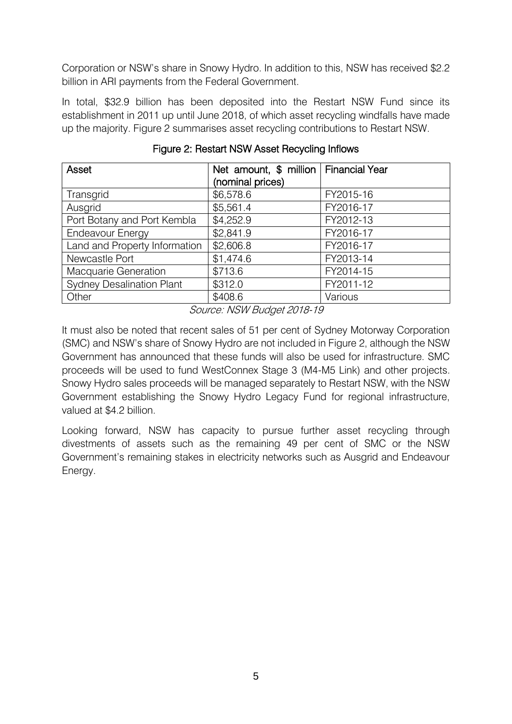Corporation or NSW's share in Snowy Hydro. In addition to this, NSW has received \$2.2 billion in ARI payments from the Federal Government.

In total, \$32.9 billion has been deposited into the Restart NSW Fund since its establishment in 2011 up until June 2018, of which asset recycling windfalls have made up the majority. Figure 2 summarises asset recycling contributions to Restart NSW.

| Asset                            | Net amount, \$ million   Financial Year<br>(nominal prices) |           |
|----------------------------------|-------------------------------------------------------------|-----------|
| Transgrid                        | \$6,578.6                                                   | FY2015-16 |
| Ausgrid                          | \$5,561.4                                                   | FY2016-17 |
| Port Botany and Port Kembla      | \$4,252.9                                                   | FY2012-13 |
| <b>Endeavour Energy</b>          | \$2,841.9                                                   | FY2016-17 |
| Land and Property Information    | \$2,606.8                                                   | FY2016-17 |
| Newcastle Port                   | \$1,474.6                                                   | FY2013-14 |
| Macquarie Generation             | \$713.6                                                     | FY2014-15 |
| <b>Sydney Desalination Plant</b> | \$312.0                                                     | FY2011-12 |
| Other                            | \$408.6                                                     | Various   |

Figure 2: Restart NSW Asset Recycling Inflows

Source: NSW Budget 2018-19

It must also be noted that recent sales of 51 per cent of Sydney Motorway Corporation (SMC) and NSW's share of Snowy Hydro are not included in Figure 2, although the NSW Government has announced that these funds will also be used for infrastructure. SMC proceeds will be used to fund WestConnex Stage 3 (M4-M5 Link) and other projects. Snowy Hydro sales proceeds will be managed separately to Restart NSW, with the NSW Government establishing the Snowy Hydro Legacy Fund for regional infrastructure, valued at \$4.2 billion.

Looking forward, NSW has capacity to pursue further asset recycling through divestments of assets such as the remaining 49 per cent of SMC or the NSW Government's remaining stakes in electricity networks such as Ausgrid and Endeavour Energy.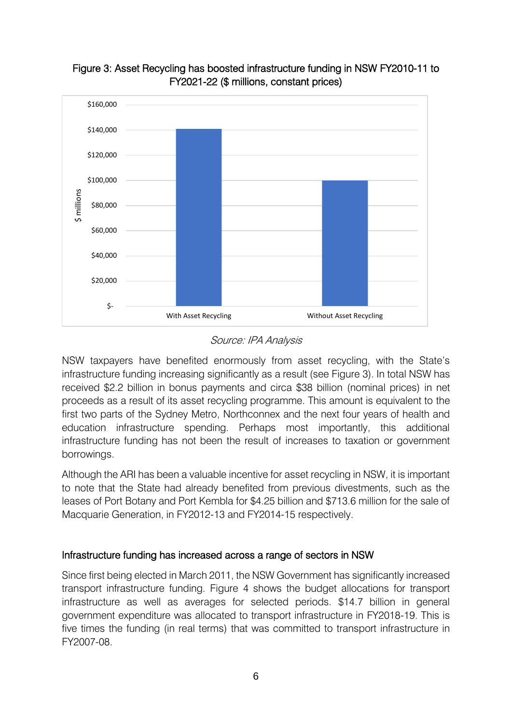

# Figure 3: Asset Recycling has boosted infrastructure funding in NSW FY2010-11 to FY2021-22 (\$ millions, constant prices)

### Source: IPA Analysis

NSW taxpayers have benefited enormously from asset recycling, with the State's infrastructure funding increasing significantly as a result (see Figure 3). In total NSW has received \$2.2 billion in bonus payments and circa \$38 billion (nominal prices) in net proceeds as a result of its asset recycling programme. This amount is equivalent to the first two parts of the Sydney Metro, Northconnex and the next four years of health and education infrastructure spending. Perhaps most importantly, this additional infrastructure funding has not been the result of increases to taxation or government borrowings.

Although the ARI has been a valuable incentive for asset recycling in NSW, it is important to note that the State had already benefited from previous divestments, such as the leases of Port Botany and Port Kembla for \$4.25 billion and \$713.6 million for the sale of Macquarie Generation, in FY2012-13 and FY2014-15 respectively.

### Infrastructure funding has increased across a range of sectors in NSW

Since first being elected in March 2011, the NSW Government has significantly increased transport infrastructure funding. Figure 4 shows the budget allocations for transport infrastructure as well as averages for selected periods. \$14.7 billion in general government expenditure was allocated to transport infrastructure in FY2018-19. This is five times the funding (in real terms) that was committed to transport infrastructure in FY2007-08.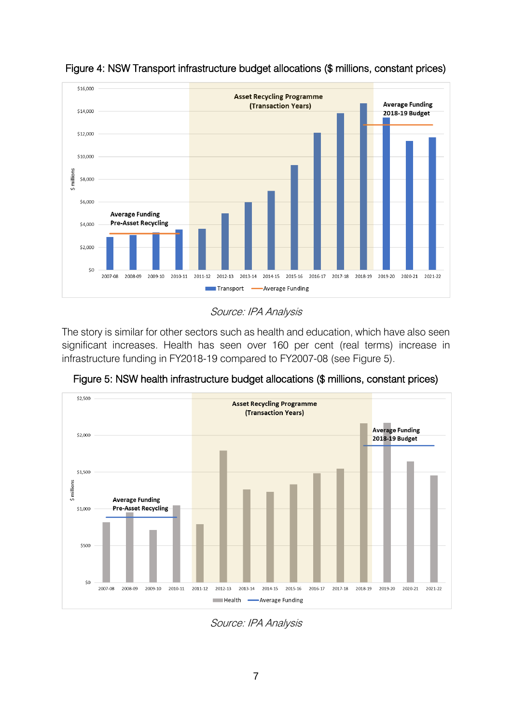

Figure 4: NSW Transport infrastructure budget allocations (\$ millions, constant prices)

#### Source: IPA Analysis

The story is similar for other sectors such as health and education, which have also seen significant increases. Health has seen over 160 per cent (real terms) increase in infrastructure funding in FY2018-19 compared to FY2007-08 (see Figure 5).



Figure 5: NSW health infrastructure budget allocations (\$ millions, constant prices)

Source: IPA Analysis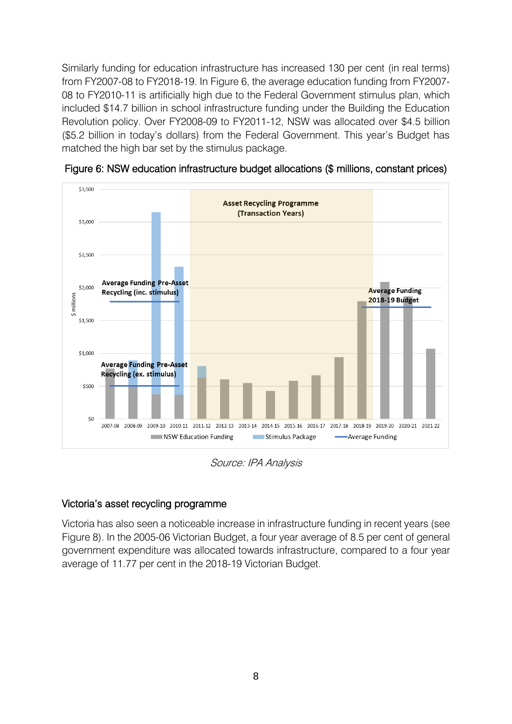Similarly funding for education infrastructure has increased 130 per cent (in real terms) from FY2007-08 to FY2018-19. In Figure 6, the average education funding from FY2007- 08 to FY2010-11 is artificially high due to the Federal Government stimulus plan, which included \$14.7 billion in school infrastructure funding under the Building the Education Revolution policy. Over FY2008-09 to FY2011-12, NSW was allocated over \$4.5 billion (\$5.2 billion in today's dollars) from the Federal Government. This year's Budget has matched the high bar set by the stimulus package.



Figure 6: NSW education infrastructure budget allocations (\$ millions, constant prices)

Source: IPA Analysis

### Victoria's asset recycling programme

Victoria has also seen a noticeable increase in infrastructure funding in recent years (see Figure 8). In the 2005-06 Victorian Budget, a four year average of 8.5 per cent of general government expenditure was allocated towards infrastructure, compared to a four year average of 11.77 per cent in the 2018-19 Victorian Budget.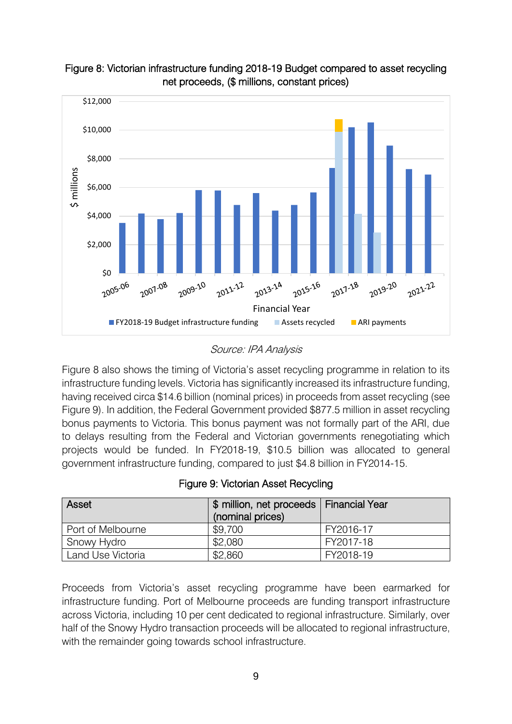



### Source: IPA Analysis

Figure 8 also shows the timing of Victoria's asset recycling programme in relation to its infrastructure funding levels. Victoria has significantly increased its infrastructure funding, having received circa \$14.6 billion (nominal prices) in proceeds from asset recycling (see Figure 9). In addition, the Federal Government provided \$877.5 million in asset recycling bonus payments to Victoria. This bonus payment was not formally part of the ARI, due to delays resulting from the Federal and Victorian governments renegotiating which projects would be funded. In FY2018-19, \$10.5 billion was allocated to general government infrastructure funding, compared to just \$4.8 billion in FY2014-15.

|  |  |  | Figure 9: Victorian Asset Recycling |
|--|--|--|-------------------------------------|
|--|--|--|-------------------------------------|

| Asset             | \$ million, net proceeds   Financial Year<br>(nominal prices) |           |
|-------------------|---------------------------------------------------------------|-----------|
| Port of Melbourne | \$9,700                                                       | FY2016-17 |
| Snowy Hydro       | \$2,080                                                       | FY2017-18 |
| Land Use Victoria | \$2,860                                                       | FY2018-19 |

Proceeds from Victoria's asset recycling programme have been earmarked for infrastructure funding. Port of Melbourne proceeds are funding transport infrastructure across Victoria, including 10 per cent dedicated to regional infrastructure. Similarly, over half of the Snowy Hydro transaction proceeds will be allocated to regional infrastructure, with the remainder going towards school infrastructure.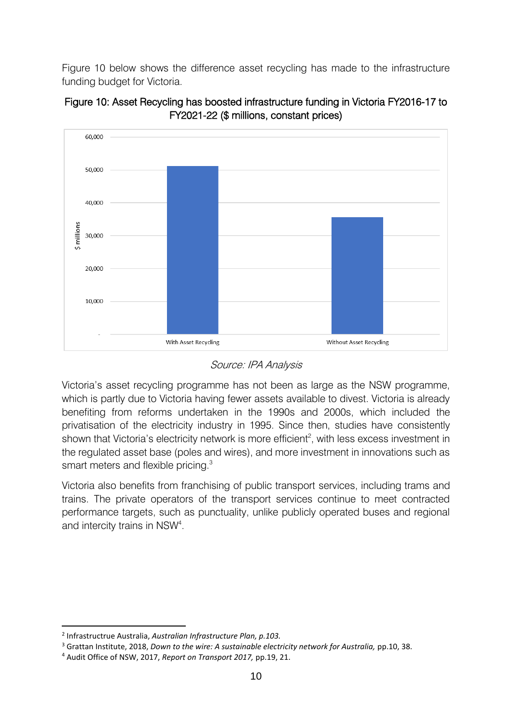Figure 10 below shows the difference asset recycling has made to the infrastructure funding budget for Victoria.





Source: IPA Analysis

Victoria's asset recycling programme has not been as large as the NSW programme, which is partly due to Victoria having fewer assets available to divest. Victoria is already benefiting from reforms undertaken in the 1990s and 2000s, which included the privatisation of the electricity industry in 1995. Since then, studies have consistently shown that Victoria's electricity network is more efficient<sup>2</sup>, with less excess investment in the regulated asset base (poles and wires), and more investment in innovations such as smart meters and flexible pricing.<sup>3</sup>

Victoria also benefits from franchising of public transport services, including trams and trains. The private operators of the transport services continue to meet contracted performance targets, such as punctuality, unlike publicly operated buses and regional and intercity trains in NSW<sup>4</sup>.

**.** 

<sup>2</sup> Infrastructrue Australia, *Australian Infrastructure Plan, p.103.*

<sup>3</sup> Grattan Institute, 2018, *Down to the wire: A sustainable electricity network for Australia,* pp.10, 38.

<sup>4</sup> Audit Office of NSW, 2017, *Report on Transport 2017,* pp.19, 21.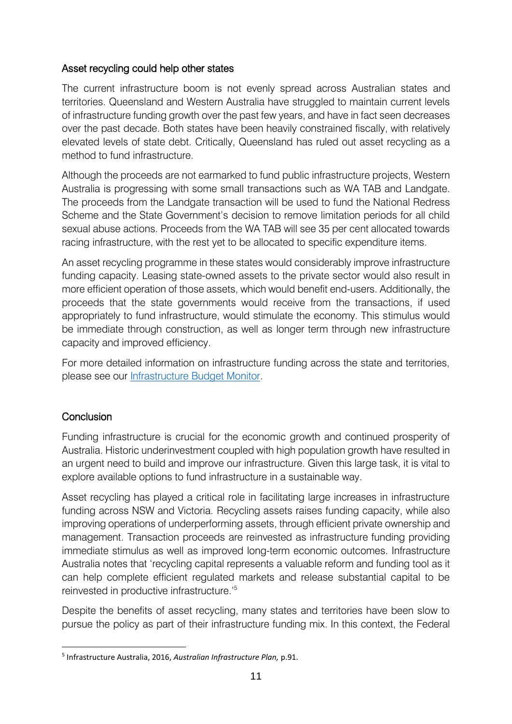### Asset recycling could help other states

The current infrastructure boom is not evenly spread across Australian states and territories. Queensland and Western Australia have struggled to maintain current levels of infrastructure funding growth over the past few years, and have in fact seen decreases over the past decade. Both states have been heavily constrained fiscally, with relatively elevated levels of state debt. Critically, Queensland has ruled out asset recycling as a method to fund infrastructure.

Although the proceeds are not earmarked to fund public infrastructure projects, Western Australia is progressing with some small transactions such as WA TAB and Landgate. The proceeds from the Landgate transaction will be used to fund the National Redress Scheme and the State Government's decision to remove limitation periods for all child sexual abuse actions. Proceeds from the WA TAB will see 35 per cent allocated towards racing infrastructure, with the rest yet to be allocated to specific expenditure items.

An asset recycling programme in these states would considerably improve infrastructure funding capacity. Leasing state-owned assets to the private sector would also result in more efficient operation of those assets, which would benefit end-users. Additionally, the proceeds that the state governments would receive from the transactions, if used appropriately to fund infrastructure, would stimulate the economy. This stimulus would be immediate through construction, as well as longer term through new infrastructure capacity and improved efficiency.

For more detailed information on infrastructure funding across the state and territories, please see our [Infrastructure Budget Monitor.](http://infrastructure.org.au/wp-content/uploads/2018/09/Australian-Infrastructure-Budget-Monitor-2018-19.pdf)

### **Conclusion**

**.** 

Funding infrastructure is crucial for the economic growth and continued prosperity of Australia. Historic underinvestment coupled with high population growth have resulted in an urgent need to build and improve our infrastructure. Given this large task, it is vital to explore available options to fund infrastructure in a sustainable way.

Asset recycling has played a critical role in facilitating large increases in infrastructure funding across NSW and Victoria. Recycling assets raises funding capacity, while also improving operations of underperforming assets, through efficient private ownership and management. Transaction proceeds are reinvested as infrastructure funding providing immediate stimulus as well as improved long-term economic outcomes. Infrastructure Australia notes that 'recycling capital represents a valuable reform and funding tool as it can help complete efficient regulated markets and release substantial capital to be reinvested in productive infrastructure.'<sup>5</sup>

Despite the benefits of asset recycling, many states and territories have been slow to pursue the policy as part of their infrastructure funding mix. In this context, the Federal

<sup>5</sup> Infrastructure Australia, 2016, *Australian Infrastructure Plan,* p.91.